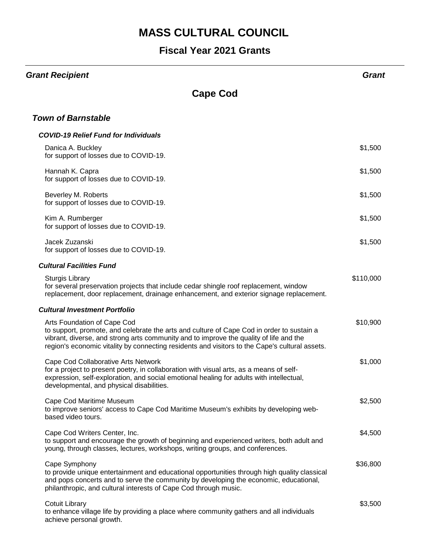| <b>Grant Recipient</b>                                                                                                                                                                                                                                                                                               | Grant     |
|----------------------------------------------------------------------------------------------------------------------------------------------------------------------------------------------------------------------------------------------------------------------------------------------------------------------|-----------|
| <b>Cape Cod</b>                                                                                                                                                                                                                                                                                                      |           |
| <b>Town of Barnstable</b>                                                                                                                                                                                                                                                                                            |           |
| <b>COVID-19 Relief Fund for Individuals</b>                                                                                                                                                                                                                                                                          |           |
| Danica A. Buckley<br>for support of losses due to COVID-19.                                                                                                                                                                                                                                                          | \$1,500   |
| Hannah K. Capra<br>for support of losses due to COVID-19.                                                                                                                                                                                                                                                            | \$1,500   |
| Beverley M. Roberts<br>for support of losses due to COVID-19.                                                                                                                                                                                                                                                        | \$1,500   |
| Kim A. Rumberger<br>for support of losses due to COVID-19.                                                                                                                                                                                                                                                           | \$1,500   |
| Jacek Zuzanski<br>for support of losses due to COVID-19.                                                                                                                                                                                                                                                             | \$1,500   |
| <b>Cultural Facilities Fund</b>                                                                                                                                                                                                                                                                                      |           |
| <b>Sturgis Library</b><br>for several preservation projects that include cedar shingle roof replacement, window<br>replacement, door replacement, drainage enhancement, and exterior signage replacement.                                                                                                            | \$110,000 |
| <b>Cultural Investment Portfolio</b>                                                                                                                                                                                                                                                                                 |           |
| Arts Foundation of Cape Cod<br>to support, promote, and celebrate the arts and culture of Cape Cod in order to sustain a<br>vibrant, diverse, and strong arts community and to improve the quality of life and the<br>region's economic vitality by connecting residents and visitors to the Cape's cultural assets. | \$10,900  |
| Cape Cod Collaborative Arts Network<br>for a project to present poetry, in collaboration with visual arts, as a means of self-<br>expression, self-exploration, and social emotional healing for adults with intellectual,<br>developmental, and physical disabilities.                                              | \$1,000   |
| Cape Cod Maritime Museum<br>to improve seniors' access to Cape Cod Maritime Museum's exhibits by developing web-<br>based video tours.                                                                                                                                                                               | \$2,500   |
| Cape Cod Writers Center, Inc.<br>to support and encourage the growth of beginning and experienced writers, both adult and<br>young, through classes, lectures, workshops, writing groups, and conferences.                                                                                                           | \$4,500   |
| Cape Symphony<br>to provide unique entertainment and educational opportunities through high quality classical<br>and pops concerts and to serve the community by developing the economic, educational,<br>philanthropic, and cultural interests of Cape Cod through music.                                           | \$36,800  |
| Cotuit Library<br>to enhance village life by providing a place where community gathers and all individuals<br>achieve personal growth.                                                                                                                                                                               | \$3,500   |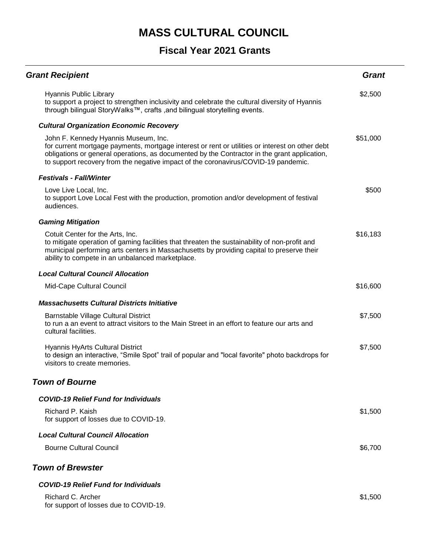| <b>Grant Recipient</b>                                                                                                                                                                                                                                                                                                        | <b>Grant</b> |
|-------------------------------------------------------------------------------------------------------------------------------------------------------------------------------------------------------------------------------------------------------------------------------------------------------------------------------|--------------|
| Hyannis Public Library<br>to support a project to strengthen inclusivity and celebrate the cultural diversity of Hyannis<br>through bilingual StoryWalks™, crafts , and bilingual storytelling events.                                                                                                                        | \$2,500      |
| <b>Cultural Organization Economic Recovery</b>                                                                                                                                                                                                                                                                                |              |
| John F. Kennedy Hyannis Museum, Inc.<br>for current mortgage payments, mortgage interest or rent or utilities or interest on other debt<br>obligations or general operations, as documented by the Contractor in the grant application,<br>to support recovery from the negative impact of the coronavirus/COVID-19 pandemic. | \$51,000     |
| <b>Festivals - Fall/Winter</b>                                                                                                                                                                                                                                                                                                |              |
| Love Live Local, Inc.<br>to support Love Local Fest with the production, promotion and/or development of festival<br>audiences.                                                                                                                                                                                               | \$500        |
| <b>Gaming Mitigation</b>                                                                                                                                                                                                                                                                                                      |              |
| Cotuit Center for the Arts, Inc.<br>to mitigate operation of gaming facilities that threaten the sustainability of non-profit and<br>municipal performing arts centers in Massachusetts by providing capital to preserve their<br>ability to compete in an unbalanced marketplace.                                            | \$16,183     |
| <b>Local Cultural Council Allocation</b>                                                                                                                                                                                                                                                                                      |              |
| Mid-Cape Cultural Council                                                                                                                                                                                                                                                                                                     | \$16,600     |
| <b>Massachusetts Cultural Districts Initiative</b>                                                                                                                                                                                                                                                                            |              |
| Barnstable Village Cultural District<br>to run a an event to attract visitors to the Main Street in an effort to feature our arts and<br>cultural facilities.                                                                                                                                                                 | \$7,500      |
| <b>Hyannis HyArts Cultural District</b><br>to design an interactive, "Smile Spot" trail of popular and "local favorite" photo backdrops for<br>visitors to create memories.                                                                                                                                                   | \$7,500      |
| <b>Town of Bourne</b>                                                                                                                                                                                                                                                                                                         |              |
| <b>COVID-19 Relief Fund for Individuals</b>                                                                                                                                                                                                                                                                                   |              |
| Richard P. Kaish<br>for support of losses due to COVID-19.                                                                                                                                                                                                                                                                    | \$1,500      |
| <b>Local Cultural Council Allocation</b>                                                                                                                                                                                                                                                                                      |              |
| <b>Bourne Cultural Council</b>                                                                                                                                                                                                                                                                                                | \$6,700      |
| <b>Town of Brewster</b>                                                                                                                                                                                                                                                                                                       |              |
| <b>COVID-19 Relief Fund for Individuals</b>                                                                                                                                                                                                                                                                                   |              |
| Richard C. Archer<br>for support of losses due to COVID-19.                                                                                                                                                                                                                                                                   | \$1,500      |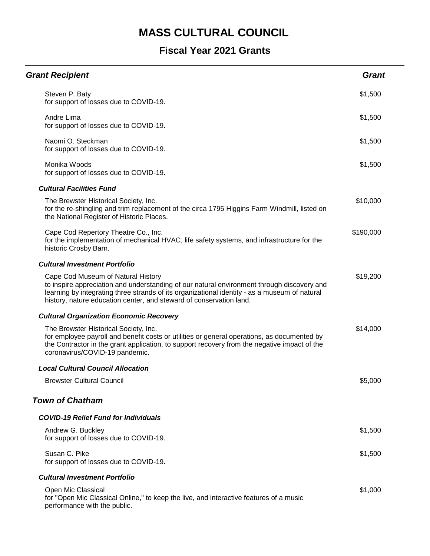| <b>Grant Recipient</b>                                                                                                                                                                                                                                                                                   | <b>Grant</b> |
|----------------------------------------------------------------------------------------------------------------------------------------------------------------------------------------------------------------------------------------------------------------------------------------------------------|--------------|
| Steven P. Baty<br>for support of losses due to COVID-19.                                                                                                                                                                                                                                                 | \$1,500      |
| Andre Lima<br>for support of losses due to COVID-19.                                                                                                                                                                                                                                                     | \$1,500      |
| Naomi O. Steckman<br>for support of losses due to COVID-19.                                                                                                                                                                                                                                              | \$1,500      |
| Monika Woods<br>for support of losses due to COVID-19.                                                                                                                                                                                                                                                   | \$1,500      |
| <b>Cultural Facilities Fund</b>                                                                                                                                                                                                                                                                          |              |
| The Brewster Historical Society, Inc.<br>for the re-shingling and trim replacement of the circa 1795 Higgins Farm Windmill, listed on<br>the National Register of Historic Places.                                                                                                                       | \$10,000     |
| Cape Cod Repertory Theatre Co., Inc.<br>for the implementation of mechanical HVAC, life safety systems, and infrastructure for the<br>historic Crosby Barn.                                                                                                                                              | \$190,000    |
| <b>Cultural Investment Portfolio</b>                                                                                                                                                                                                                                                                     |              |
| Cape Cod Museum of Natural History<br>to inspire appreciation and understanding of our natural environment through discovery and<br>learning by integrating three strands of its organizational identity - as a museum of natural<br>history, nature education center, and steward of conservation land. | \$19,200     |
| <b>Cultural Organization Economic Recovery</b>                                                                                                                                                                                                                                                           |              |
| The Brewster Historical Society, Inc.<br>for employee payroll and benefit costs or utilities or general operations, as documented by<br>the Contractor in the grant application, to support recovery from the negative impact of the<br>coronavirus/COVID-19 pandemic.                                   | \$14,000     |
| <b>Local Cultural Council Allocation</b>                                                                                                                                                                                                                                                                 |              |
| <b>Brewster Cultural Council</b>                                                                                                                                                                                                                                                                         | \$5,000      |
| <b>Town of Chatham</b>                                                                                                                                                                                                                                                                                   |              |
| <b>COVID-19 Relief Fund for Individuals</b>                                                                                                                                                                                                                                                              |              |
| Andrew G. Buckley<br>for support of losses due to COVID-19.                                                                                                                                                                                                                                              | \$1,500      |
| Susan C. Pike<br>for support of losses due to COVID-19.                                                                                                                                                                                                                                                  | \$1,500      |
| <b>Cultural Investment Portfolio</b>                                                                                                                                                                                                                                                                     |              |
| Open Mic Classical<br>for "Open Mic Classical Online," to keep the live, and interactive features of a music<br>performance with the public.                                                                                                                                                             | \$1,000      |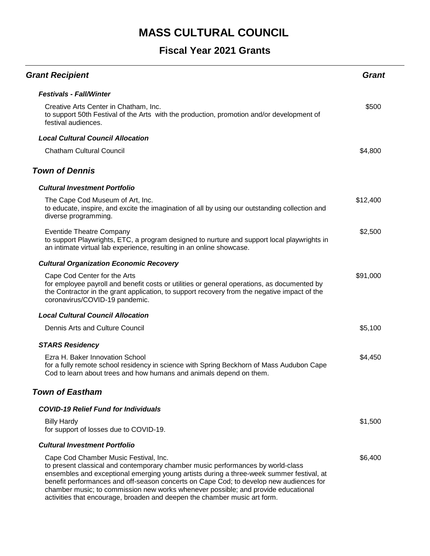| <b>Grant Recipient</b>                                                                                                                                                                                                                                                                                                                                                                                                                                                           | Grant    |
|----------------------------------------------------------------------------------------------------------------------------------------------------------------------------------------------------------------------------------------------------------------------------------------------------------------------------------------------------------------------------------------------------------------------------------------------------------------------------------|----------|
| <b>Festivals - Fall/Winter</b>                                                                                                                                                                                                                                                                                                                                                                                                                                                   |          |
| Creative Arts Center in Chatham, Inc.<br>to support 50th Festival of the Arts with the production, promotion and/or development of<br>festival audiences.                                                                                                                                                                                                                                                                                                                        | \$500    |
| <b>Local Cultural Council Allocation</b>                                                                                                                                                                                                                                                                                                                                                                                                                                         |          |
| <b>Chatham Cultural Council</b>                                                                                                                                                                                                                                                                                                                                                                                                                                                  | \$4,800  |
| <b>Town of Dennis</b>                                                                                                                                                                                                                                                                                                                                                                                                                                                            |          |
| <b>Cultural Investment Portfolio</b>                                                                                                                                                                                                                                                                                                                                                                                                                                             |          |
| The Cape Cod Museum of Art, Inc.<br>to educate, inspire, and excite the imagination of all by using our outstanding collection and<br>diverse programming.                                                                                                                                                                                                                                                                                                                       | \$12,400 |
| <b>Eventide Theatre Company</b><br>to support Playwrights, ETC, a program designed to nurture and support local playwrights in<br>an intimate virtual lab experience, resulting in an online showcase.                                                                                                                                                                                                                                                                           | \$2,500  |
| <b>Cultural Organization Economic Recovery</b>                                                                                                                                                                                                                                                                                                                                                                                                                                   |          |
| Cape Cod Center for the Arts<br>for employee payroll and benefit costs or utilities or general operations, as documented by<br>the Contractor in the grant application, to support recovery from the negative impact of the<br>coronavirus/COVID-19 pandemic.                                                                                                                                                                                                                    | \$91,000 |
| <b>Local Cultural Council Allocation</b>                                                                                                                                                                                                                                                                                                                                                                                                                                         |          |
| Dennis Arts and Culture Council                                                                                                                                                                                                                                                                                                                                                                                                                                                  | \$5,100  |
| <b>STARS Residency</b>                                                                                                                                                                                                                                                                                                                                                                                                                                                           |          |
| Ezra H. Baker Innovation School<br>for a fully remote school residency in science with Spring Beckhorn of Mass Audubon Cape<br>Cod to learn about trees and how humans and animals depend on them.                                                                                                                                                                                                                                                                               | \$4,450  |
| <b>Town of Eastham</b>                                                                                                                                                                                                                                                                                                                                                                                                                                                           |          |
| <b>COVID-19 Relief Fund for Individuals</b>                                                                                                                                                                                                                                                                                                                                                                                                                                      |          |
| <b>Billy Hardy</b><br>for support of losses due to COVID-19.                                                                                                                                                                                                                                                                                                                                                                                                                     | \$1,500  |
| <b>Cultural Investment Portfolio</b>                                                                                                                                                                                                                                                                                                                                                                                                                                             |          |
| Cape Cod Chamber Music Festival, Inc.<br>to present classical and contemporary chamber music performances by world-class<br>ensembles and exceptional emerging young artists during a three-week summer festival, at<br>benefit performances and off-season concerts on Cape Cod; to develop new audiences for<br>chamber music; to commission new works whenever possible; and provide educational<br>activities that encourage, broaden and deepen the chamber music art form. | \$6,400  |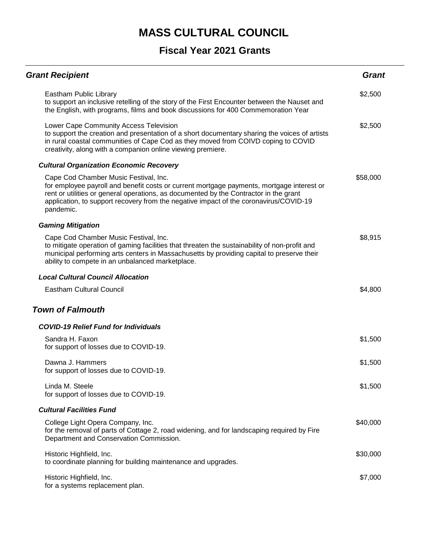| <b>Grant Recipient</b>                                                                                                                                                                                                                                                                                                            | <b>Grant</b> |
|-----------------------------------------------------------------------------------------------------------------------------------------------------------------------------------------------------------------------------------------------------------------------------------------------------------------------------------|--------------|
| Eastham Public Library<br>to support an inclusive retelling of the story of the First Encounter between the Nauset and<br>the English, with programs, films and book discussions for 400 Commemoration Year                                                                                                                       | \$2,500      |
| Lower Cape Community Access Television<br>to support the creation and presentation of a short documentary sharing the voices of artists<br>in rural coastal communities of Cape Cod as they moved from COIVD coping to COVID<br>creativity, along with a companion online viewing premiere.                                       | \$2,500      |
| <b>Cultural Organization Economic Recovery</b>                                                                                                                                                                                                                                                                                    |              |
| Cape Cod Chamber Music Festival, Inc.<br>for employee payroll and benefit costs or current mortgage payments, mortgage interest or<br>rent or utilities or general operations, as documented by the Contractor in the grant<br>application, to support recovery from the negative impact of the coronavirus/COVID-19<br>pandemic. | \$58,000     |
| <b>Gaming Mitigation</b>                                                                                                                                                                                                                                                                                                          |              |
| Cape Cod Chamber Music Festival, Inc.<br>to mitigate operation of gaming facilities that threaten the sustainability of non-profit and<br>municipal performing arts centers in Massachusetts by providing capital to preserve their<br>ability to compete in an unbalanced marketplace.                                           | \$8,915      |
| <b>Local Cultural Council Allocation</b>                                                                                                                                                                                                                                                                                          |              |
| <b>Eastham Cultural Council</b>                                                                                                                                                                                                                                                                                                   | \$4,800      |
| <b>Town of Falmouth</b>                                                                                                                                                                                                                                                                                                           |              |
| <b>COVID-19 Relief Fund for Individuals</b>                                                                                                                                                                                                                                                                                       |              |
| Sandra H. Faxon<br>for support of losses due to COVID-19.                                                                                                                                                                                                                                                                         | \$1,500      |
| Dawna J. Hammers<br>for support of losses due to COVID-19.                                                                                                                                                                                                                                                                        | \$1,500      |
| Linda M. Steele<br>for support of losses due to COVID-19.                                                                                                                                                                                                                                                                         | \$1,500      |
| <b>Cultural Facilities Fund</b>                                                                                                                                                                                                                                                                                                   |              |
| College Light Opera Company, Inc.<br>for the removal of parts of Cottage 2, road widening, and for landscaping required by Fire<br>Department and Conservation Commission.                                                                                                                                                        | \$40,000     |
| Historic Highfield, Inc.<br>to coordinate planning for building maintenance and upgrades.                                                                                                                                                                                                                                         | \$30,000     |
| Historic Highfield, Inc.<br>for a systems replacement plan.                                                                                                                                                                                                                                                                       | \$7,000      |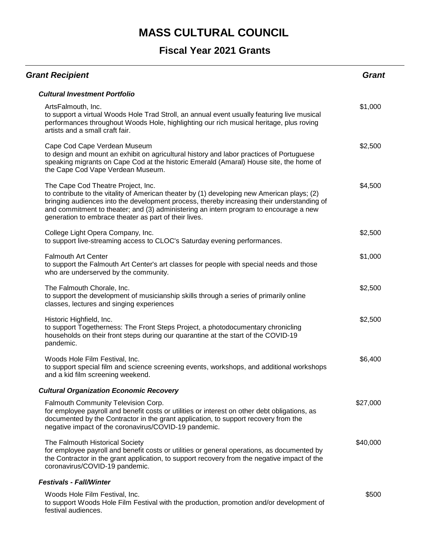| <b>Grant Recipient</b>                                                                                                                                                                                                                                                                                                                                                            | <b>Grant</b> |
|-----------------------------------------------------------------------------------------------------------------------------------------------------------------------------------------------------------------------------------------------------------------------------------------------------------------------------------------------------------------------------------|--------------|
| <b>Cultural Investment Portfolio</b>                                                                                                                                                                                                                                                                                                                                              |              |
| ArtsFalmouth, Inc.<br>to support a virtual Woods Hole Trad Stroll, an annual event usually featuring live musical<br>performances throughout Woods Hole, highlighting our rich musical heritage, plus roving<br>artists and a small craft fair.                                                                                                                                   | \$1,000      |
| Cape Cod Cape Verdean Museum<br>to design and mount an exhibit on agricultural history and labor practices of Portuguese<br>speaking migrants on Cape Cod at the historic Emerald (Amaral) House site, the home of<br>the Cape Cod Vape Verdean Museum.                                                                                                                           | \$2,500      |
| The Cape Cod Theatre Project, Inc.<br>to contribute to the vitality of American theater by (1) developing new American plays; (2)<br>bringing audiences into the development process, thereby increasing their understanding of<br>and commitment to theater; and (3) administering an intern program to encourage a new<br>generation to embrace theater as part of their lives. | \$4,500      |
| College Light Opera Company, Inc.<br>to support live-streaming access to CLOC's Saturday evening performances.                                                                                                                                                                                                                                                                    | \$2,500      |
| <b>Falmouth Art Center</b><br>to support the Falmouth Art Center's art classes for people with special needs and those<br>who are underserved by the community.                                                                                                                                                                                                                   | \$1,000      |
| The Falmouth Chorale, Inc.<br>to support the development of musicianship skills through a series of primarily online<br>classes, lectures and singing experiences                                                                                                                                                                                                                 | \$2,500      |
| Historic Highfield, Inc.<br>to support Togetherness: The Front Steps Project, a photodocumentary chronicling<br>households on their front steps during our quarantine at the start of the COVID-19<br>pandemic.                                                                                                                                                                   | \$2,500      |
| Woods Hole Film Festival, Inc.<br>to support special film and science screening events, workshops, and additional workshops<br>and a kid film screening weekend.                                                                                                                                                                                                                  | \$6,400      |
| <b>Cultural Organization Economic Recovery</b>                                                                                                                                                                                                                                                                                                                                    |              |
| Falmouth Community Television Corp.<br>for employee payroll and benefit costs or utilities or interest on other debt obligations, as<br>documented by the Contractor in the grant application, to support recovery from the<br>negative impact of the coronavirus/COVID-19 pandemic.                                                                                              | \$27,000     |
| The Falmouth Historical Society<br>for employee payroll and benefit costs or utilities or general operations, as documented by<br>the Contractor in the grant application, to support recovery from the negative impact of the<br>coronavirus/COVID-19 pandemic.                                                                                                                  | \$40,000     |
| <b>Festivals - Fall/Winter</b>                                                                                                                                                                                                                                                                                                                                                    |              |
| Woods Hole Film Festival, Inc.<br>to support Woods Hole Film Festival with the production, promotion and/or development of<br>festival audiences.                                                                                                                                                                                                                                 | \$500        |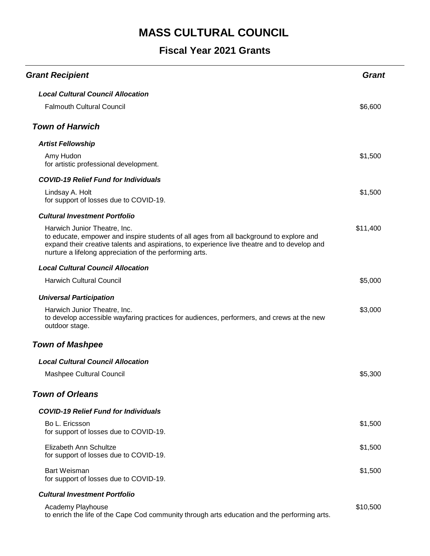### **Fiscal Year 2021 Grants**

| <b>Grant Recipient</b>                                                                                                                                                                                                                                                             | Grant    |
|------------------------------------------------------------------------------------------------------------------------------------------------------------------------------------------------------------------------------------------------------------------------------------|----------|
| <b>Local Cultural Council Allocation</b>                                                                                                                                                                                                                                           |          |
| <b>Falmouth Cultural Council</b>                                                                                                                                                                                                                                                   | \$6,600  |
| <b>Town of Harwich</b>                                                                                                                                                                                                                                                             |          |
| <b>Artist Fellowship</b>                                                                                                                                                                                                                                                           |          |
| Amy Hudon<br>for artistic professional development.                                                                                                                                                                                                                                | \$1,500  |
| <b>COVID-19 Relief Fund for Individuals</b>                                                                                                                                                                                                                                        |          |
| Lindsay A. Holt<br>for support of losses due to COVID-19.                                                                                                                                                                                                                          | \$1,500  |
| <b>Cultural Investment Portfolio</b>                                                                                                                                                                                                                                               |          |
| Harwich Junior Theatre, Inc.<br>to educate, empower and inspire students of all ages from all background to explore and<br>expand their creative talents and aspirations, to experience live theatre and to develop and<br>nurture a lifelong appreciation of the performing arts. | \$11,400 |
| <b>Local Cultural Council Allocation</b>                                                                                                                                                                                                                                           |          |
| <b>Harwich Cultural Council</b>                                                                                                                                                                                                                                                    | \$5,000  |
| <b>Universal Participation</b>                                                                                                                                                                                                                                                     |          |
| Harwich Junior Theatre, Inc.<br>to develop accessible wayfaring practices for audiences, performers, and crews at the new<br>outdoor stage.                                                                                                                                        | \$3,000  |
| <b>Town of Mashpee</b>                                                                                                                                                                                                                                                             |          |
| <b>Local Cultural Council Allocation</b>                                                                                                                                                                                                                                           |          |
| Mashpee Cultural Council                                                                                                                                                                                                                                                           | \$5,300  |
| <b>Town of Orleans</b>                                                                                                                                                                                                                                                             |          |
| <b>COVID-19 Relief Fund for Individuals</b>                                                                                                                                                                                                                                        |          |
| Bo L. Ericsson<br>for support of losses due to COVID-19.                                                                                                                                                                                                                           | \$1,500  |
| Elizabeth Ann Schultze<br>for support of losses due to COVID-19.                                                                                                                                                                                                                   | \$1,500  |
| Bart Weisman<br>for support of losses due to COVID-19.                                                                                                                                                                                                                             | \$1,500  |
| <b>Cultural Investment Portfolio</b>                                                                                                                                                                                                                                               |          |
| Academy Playhouse                                                                                                                                                                                                                                                                  | \$10,500 |

to enrich the life of the Cape Cod community through arts education and the performing arts.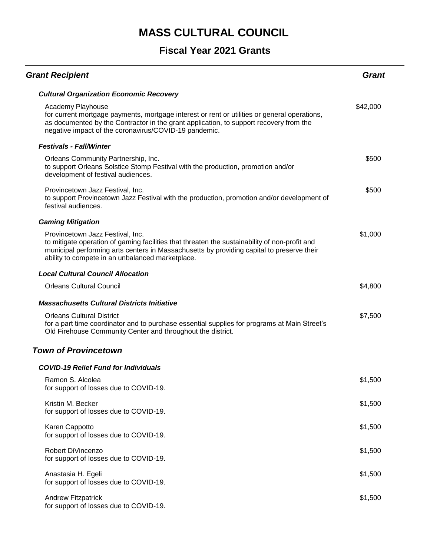| <b>Grant Recipient</b>                                                                                                                                                                                                                                                             | Grant    |
|------------------------------------------------------------------------------------------------------------------------------------------------------------------------------------------------------------------------------------------------------------------------------------|----------|
| <b>Cultural Organization Economic Recovery</b>                                                                                                                                                                                                                                     |          |
| Academy Playhouse<br>for current mortgage payments, mortgage interest or rent or utilities or general operations,<br>as documented by the Contractor in the grant application, to support recovery from the<br>negative impact of the coronavirus/COVID-19 pandemic.               | \$42,000 |
| <b>Festivals - Fall/Winter</b>                                                                                                                                                                                                                                                     |          |
| Orleans Community Partnership, Inc.<br>to support Orleans Solstice Stomp Festival with the production, promotion and/or<br>development of festival audiences.                                                                                                                      | \$500    |
| Provincetown Jazz Festival, Inc.<br>to support Provincetown Jazz Festival with the production, promotion and/or development of<br>festival audiences.                                                                                                                              | \$500    |
| <b>Gaming Mitigation</b>                                                                                                                                                                                                                                                           |          |
| Provincetown Jazz Festival, Inc.<br>to mitigate operation of gaming facilities that threaten the sustainability of non-profit and<br>municipal performing arts centers in Massachusetts by providing capital to preserve their<br>ability to compete in an unbalanced marketplace. | \$1,000  |
| <b>Local Cultural Council Allocation</b>                                                                                                                                                                                                                                           |          |
| <b>Orleans Cultural Council</b>                                                                                                                                                                                                                                                    | \$4,800  |
| <b>Massachusetts Cultural Districts Initiative</b>                                                                                                                                                                                                                                 |          |
| <b>Orleans Cultural District</b><br>for a part time coordinator and to purchase essential supplies for programs at Main Street's<br>Old Firehouse Community Center and throughout the district.                                                                                    | \$7,500  |
| <b>Town of Provincetown</b>                                                                                                                                                                                                                                                        |          |
| <b>COVID-19 Relief Fund for Individuals</b>                                                                                                                                                                                                                                        |          |
| Ramon S. Alcolea<br>for support of losses due to COVID-19.                                                                                                                                                                                                                         | \$1,500  |
| Kristin M. Becker<br>for support of losses due to COVID-19.                                                                                                                                                                                                                        | \$1,500  |
| Karen Cappotto<br>for support of losses due to COVID-19.                                                                                                                                                                                                                           | \$1,500  |
| Robert DiVincenzo<br>for support of losses due to COVID-19.                                                                                                                                                                                                                        | \$1,500  |
| Anastasia H. Egeli<br>for support of losses due to COVID-19.                                                                                                                                                                                                                       | \$1,500  |
| <b>Andrew Fitzpatrick</b><br>for support of losses due to COVID-19.                                                                                                                                                                                                                | \$1,500  |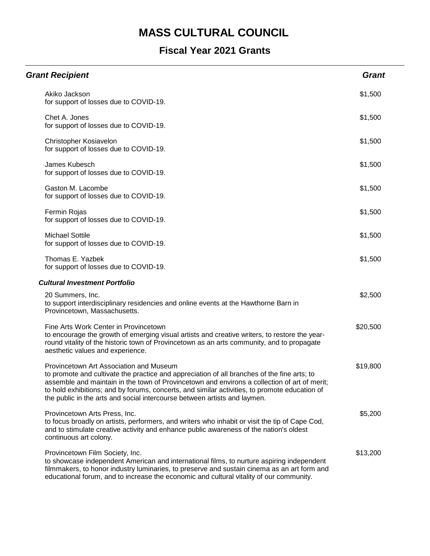| <b>Grant Recipient</b>                                                                                                                                                                                                                                                                                                                                                                                               | <b>Grant</b> |
|----------------------------------------------------------------------------------------------------------------------------------------------------------------------------------------------------------------------------------------------------------------------------------------------------------------------------------------------------------------------------------------------------------------------|--------------|
| Akiko Jackson<br>for support of losses due to COVID-19.                                                                                                                                                                                                                                                                                                                                                              | \$1,500      |
| Chet A. Jones<br>for support of losses due to COVID-19.                                                                                                                                                                                                                                                                                                                                                              | \$1,500      |
| Christopher Kosiavelon<br>for support of losses due to COVID-19.                                                                                                                                                                                                                                                                                                                                                     | \$1,500      |
| James Kubesch<br>for support of losses due to COVID-19.                                                                                                                                                                                                                                                                                                                                                              | \$1,500      |
| Gaston M. Lacombe<br>for support of losses due to COVID-19.                                                                                                                                                                                                                                                                                                                                                          | \$1,500      |
| Fermin Rojas<br>for support of losses due to COVID-19.                                                                                                                                                                                                                                                                                                                                                               | \$1,500      |
| <b>Michael Sottile</b><br>for support of losses due to COVID-19.                                                                                                                                                                                                                                                                                                                                                     | \$1,500      |
| Thomas E. Yazbek<br>for support of losses due to COVID-19.                                                                                                                                                                                                                                                                                                                                                           | \$1,500      |
| <b>Cultural Investment Portfolio</b>                                                                                                                                                                                                                                                                                                                                                                                 |              |
| 20 Summers, Inc.<br>to support interdisciplinary residencies and online events at the Hawthorne Barn in<br>Provincetown, Massachusetts.                                                                                                                                                                                                                                                                              | \$2,500      |
| Fine Arts Work Center in Provincetown<br>to encourage the growth of emerging visual artists and creative writers, to restore the year-<br>round vitality of the historic town of Provincetown as an arts community, and to propagate<br>aesthetic values and experience.                                                                                                                                             | \$20,500     |
| Provincetown Art Association and Museum<br>to promote and cultivate the practice and appreciation of all branches of the fine arts; to<br>assemble and maintain in the town of Provincetown and environs a collection of art of merit;<br>to hold exhibitions; and by forums, concerts, and similar activities, to promote education of<br>the public in the arts and social intercourse between artists and laymen. | \$19,800     |
| Provincetown Arts Press, Inc.<br>to focus broadly on artists, performers, and writers who inhabit or visit the tip of Cape Cod,<br>and to stimulate creative activity and enhance public awareness of the nation's oldest<br>continuous art colony.                                                                                                                                                                  | \$5,200      |
| Provincetown Film Society, Inc.<br>to showcase independent American and international films, to nurture aspiring independent<br>filmmakers, to honor industry luminaries, to preserve and sustain cinema as an art form and<br>educational forum, and to increase the economic and cultural vitality of our community.                                                                                               | \$13,200     |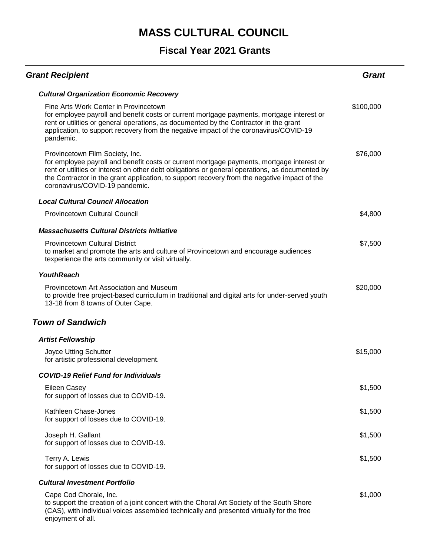### **Fiscal Year 2021 Grants**

| <b>Grant Recipient</b>                                                                                                                                                                                                                                                                                                                                            | Grant     |
|-------------------------------------------------------------------------------------------------------------------------------------------------------------------------------------------------------------------------------------------------------------------------------------------------------------------------------------------------------------------|-----------|
| <b>Cultural Organization Economic Recovery</b>                                                                                                                                                                                                                                                                                                                    |           |
| Fine Arts Work Center in Provincetown<br>for employee payroll and benefit costs or current mortgage payments, mortgage interest or<br>rent or utilities or general operations, as documented by the Contractor in the grant<br>application, to support recovery from the negative impact of the coronavirus/COVID-19<br>pandemic.                                 | \$100,000 |
| Provincetown Film Society, Inc.<br>for employee payroll and benefit costs or current mortgage payments, mortgage interest or<br>rent or utilities or interest on other debt obligations or general operations, as documented by<br>the Contractor in the grant application, to support recovery from the negative impact of the<br>coronavirus/COVID-19 pandemic. | \$76,000  |
| <b>Local Cultural Council Allocation</b>                                                                                                                                                                                                                                                                                                                          |           |
| Provincetown Cultural Council                                                                                                                                                                                                                                                                                                                                     | \$4,800   |
| <b>Massachusetts Cultural Districts Initiative</b>                                                                                                                                                                                                                                                                                                                |           |
| <b>Provincetown Cultural District</b><br>to market and promote the arts and culture of Provincetown and encourage audiences<br>texperience the arts community or visit virtually.                                                                                                                                                                                 | \$7,500   |
| <b>YouthReach</b>                                                                                                                                                                                                                                                                                                                                                 |           |
| Provincetown Art Association and Museum<br>to provide free project-based curriculum in traditional and digital arts for under-served youth<br>13-18 from 8 towns of Outer Cape.                                                                                                                                                                                   | \$20,000  |
| <b>Town of Sandwich</b>                                                                                                                                                                                                                                                                                                                                           |           |
| <b>Artist Fellowship</b>                                                                                                                                                                                                                                                                                                                                          |           |
| Joyce Utting Schutter<br>for artistic professional development.                                                                                                                                                                                                                                                                                                   | \$15,000  |
| <b>COVID-19 Relief Fund for Individuals</b>                                                                                                                                                                                                                                                                                                                       |           |
| <b>Eileen Casey</b><br>for support of losses due to COVID-19.                                                                                                                                                                                                                                                                                                     | \$1,500   |
| Kathleen Chase-Jones<br>for support of losses due to COVID-19.                                                                                                                                                                                                                                                                                                    | \$1,500   |
| Joseph H. Gallant<br>for support of losses due to COVID-19.                                                                                                                                                                                                                                                                                                       | \$1,500   |
| Terry A. Lewis<br>for support of losses due to COVID-19.                                                                                                                                                                                                                                                                                                          | \$1,500   |
| <b>Cultural Investment Portfolio</b>                                                                                                                                                                                                                                                                                                                              |           |
| Cape Cod Chorale, Inc.<br>to support the creation of a joint concert with the Choral Art Society of the South Shore<br>(CAS), with individual voices assembled technically and presented virtually for the free                                                                                                                                                   | \$1,000   |

enjoyment of all.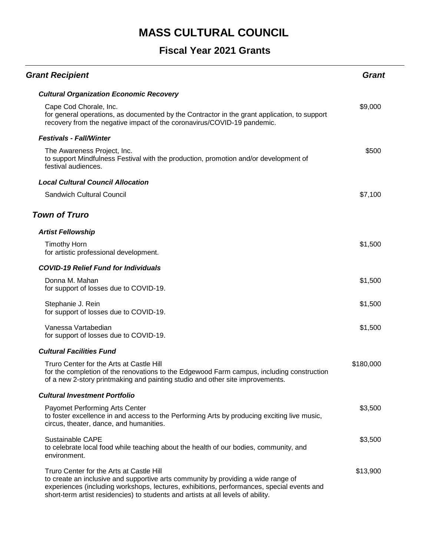| <b>Grant Recipient</b>                                                                                                                                                                                                                                                                                         | Grant     |
|----------------------------------------------------------------------------------------------------------------------------------------------------------------------------------------------------------------------------------------------------------------------------------------------------------------|-----------|
| <b>Cultural Organization Economic Recovery</b>                                                                                                                                                                                                                                                                 |           |
| Cape Cod Chorale, Inc.<br>for general operations, as documented by the Contractor in the grant application, to support<br>recovery from the negative impact of the coronavirus/COVID-19 pandemic.                                                                                                              | \$9,000   |
| <b>Festivals - Fall/Winter</b>                                                                                                                                                                                                                                                                                 |           |
| The Awareness Project, Inc.<br>to support Mindfulness Festival with the production, promotion and/or development of<br>festival audiences.                                                                                                                                                                     | \$500     |
| <b>Local Cultural Council Allocation</b>                                                                                                                                                                                                                                                                       |           |
| <b>Sandwich Cultural Council</b>                                                                                                                                                                                                                                                                               | \$7,100   |
| <b>Town of Truro</b>                                                                                                                                                                                                                                                                                           |           |
| <b>Artist Fellowship</b>                                                                                                                                                                                                                                                                                       |           |
| <b>Timothy Horn</b><br>for artistic professional development.                                                                                                                                                                                                                                                  | \$1,500   |
| <b>COVID-19 Relief Fund for Individuals</b>                                                                                                                                                                                                                                                                    |           |
| Donna M. Mahan<br>for support of losses due to COVID-19.                                                                                                                                                                                                                                                       | \$1,500   |
| Stephanie J. Rein<br>for support of losses due to COVID-19.                                                                                                                                                                                                                                                    | \$1,500   |
| Vanessa Vartabedian<br>for support of losses due to COVID-19.                                                                                                                                                                                                                                                  | \$1,500   |
| <b>Cultural Facilities Fund</b>                                                                                                                                                                                                                                                                                |           |
| Truro Center for the Arts at Castle Hill<br>for the completion of the renovations to the Edgewood Farm campus, including construction<br>of a new 2-story printmaking and painting studio and other site improvements.                                                                                         | \$180,000 |
| <b>Cultural Investment Portfolio</b>                                                                                                                                                                                                                                                                           |           |
| Payomet Performing Arts Center<br>to foster excellence in and access to the Performing Arts by producing exciting live music,<br>circus, theater, dance, and humanities.                                                                                                                                       | \$3,500   |
| Sustainable CAPE<br>to celebrate local food while teaching about the health of our bodies, community, and<br>environment.                                                                                                                                                                                      | \$3,500   |
| Truro Center for the Arts at Castle Hill<br>to create an inclusive and supportive arts community by providing a wide range of<br>experiences (including workshops, lectures, exhibitions, performances, special events and<br>short-term artist residencies) to students and artists at all levels of ability. | \$13,900  |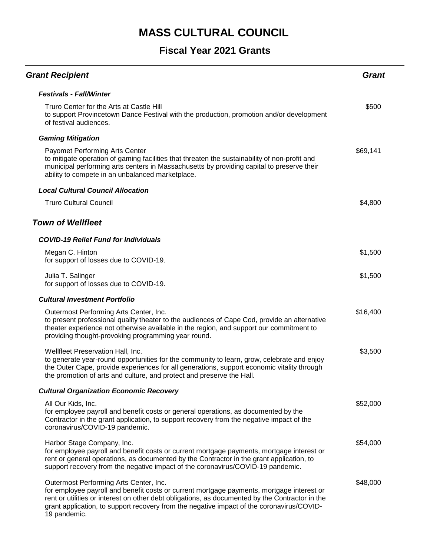| <b>Grant Recipient</b>                                                                                                                                                                                                                                                                                                                              | <b>Grant</b> |
|-----------------------------------------------------------------------------------------------------------------------------------------------------------------------------------------------------------------------------------------------------------------------------------------------------------------------------------------------------|--------------|
| <b>Festivals - Fall/Winter</b>                                                                                                                                                                                                                                                                                                                      |              |
| Truro Center for the Arts at Castle Hill<br>to support Provincetown Dance Festival with the production, promotion and/or development<br>of festival audiences.                                                                                                                                                                                      | \$500        |
| <b>Gaming Mitigation</b>                                                                                                                                                                                                                                                                                                                            |              |
| Payomet Performing Arts Center<br>to mitigate operation of gaming facilities that threaten the sustainability of non-profit and<br>municipal performing arts centers in Massachusetts by providing capital to preserve their<br>ability to compete in an unbalanced marketplace.                                                                    | \$69,141     |
| <b>Local Cultural Council Allocation</b>                                                                                                                                                                                                                                                                                                            |              |
| <b>Truro Cultural Council</b>                                                                                                                                                                                                                                                                                                                       | \$4,800      |
| <b>Town of Wellfleet</b>                                                                                                                                                                                                                                                                                                                            |              |
| <b>COVID-19 Relief Fund for Individuals</b>                                                                                                                                                                                                                                                                                                         |              |
| Megan C. Hinton<br>for support of losses due to COVID-19.                                                                                                                                                                                                                                                                                           | \$1,500      |
| Julia T. Salinger<br>for support of losses due to COVID-19.                                                                                                                                                                                                                                                                                         | \$1,500      |
| <b>Cultural Investment Portfolio</b>                                                                                                                                                                                                                                                                                                                |              |
| Outermost Performing Arts Center, Inc.<br>to present professional quality theater to the audiences of Cape Cod, provide an alternative<br>theater experience not otherwise available in the region, and support our commitment to<br>providing thought-provoking programming year round.                                                            | \$16,400     |
| Wellfleet Preservation Hall, Inc.<br>to generate year-round opportunities for the community to learn, grow, celebrate and enjoy<br>the Outer Cape, provide experiences for all generations, support economic vitality through<br>the promotion of arts and culture, and protect and preserve the Hall.                                              | \$3,500      |
| <b>Cultural Organization Economic Recovery</b>                                                                                                                                                                                                                                                                                                      |              |
| All Our Kids, Inc.<br>for employee payroll and benefit costs or general operations, as documented by the<br>Contractor in the grant application, to support recovery from the negative impact of the<br>coronavirus/COVID-19 pandemic.                                                                                                              | \$52,000     |
| Harbor Stage Company, Inc.<br>for employee payroll and benefit costs or current mortgage payments, mortgage interest or<br>rent or general operations, as documented by the Contractor in the grant application, to<br>support recovery from the negative impact of the coronavirus/COVID-19 pandemic.                                              | \$54,000     |
| Outermost Performing Arts Center, Inc.<br>for employee payroll and benefit costs or current mortgage payments, mortgage interest or<br>rent or utilities or interest on other debt obligations, as documented by the Contractor in the<br>grant application, to support recovery from the negative impact of the coronavirus/COVID-<br>19 pandemic. | \$48,000     |